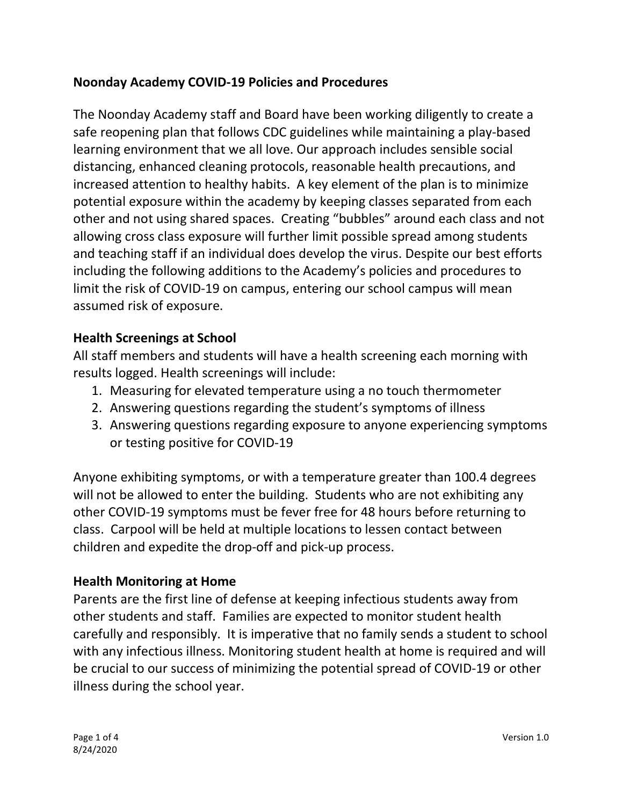# Noonday Academy COVID-19 Policies and Procedures

The Noonday Academy staff and Board have been working diligently to create a safe reopening plan that follows CDC guidelines while maintaining a play-based learning environment that we all love. Our approach includes sensible social distancing, enhanced cleaning protocols, reasonable health precautions, and increased attention to healthy habits. A key element of the plan is to minimize potential exposure within the academy by keeping classes separated from each other and not using shared spaces. Creating "bubbles" around each class and not allowing cross class exposure will further limit possible spread among students and teaching staff if an individual does develop the virus. Despite our best efforts including the following additions to the Academy's policies and procedures to limit the risk of COVID-19 on campus, entering our school campus will mean assumed risk of exposure.

## Health Screenings at School

All staff members and students will have a health screening each morning with results logged. Health screenings will include:

- 1. Measuring for elevated temperature using a no touch thermometer
- 2. Answering questions regarding the student's symptoms of illness
- 3. Answering questions regarding exposure to anyone experiencing symptoms or testing positive for COVID-19

Anyone exhibiting symptoms, or with a temperature greater than 100.4 degrees will not be allowed to enter the building. Students who are not exhibiting any other COVID-19 symptoms must be fever free for 48 hours before returning to class. Carpool will be held at multiple locations to lessen contact between children and expedite the drop-off and pick-up process.

## Health Monitoring at Home

Parents are the first line of defense at keeping infectious students away from other students and staff. Families are expected to monitor student health carefully and responsibly. It is imperative that no family sends a student to school with any infectious illness. Monitoring student health at home is required and will be crucial to our success of minimizing the potential spread of COVID-19 or other illness during the school year.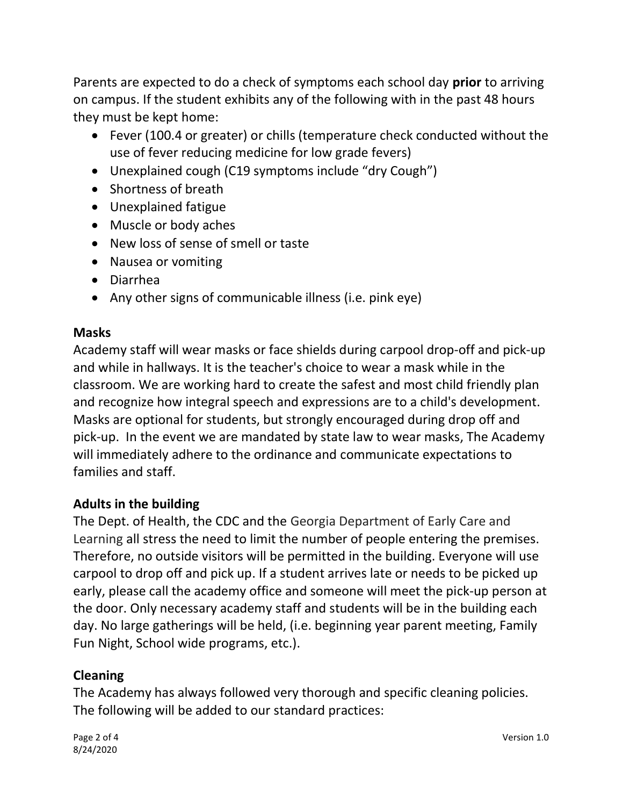Parents are expected to do a check of symptoms each school day prior to arriving on campus. If the student exhibits any of the following with in the past 48 hours they must be kept home:

- Fever (100.4 or greater) or chills (temperature check conducted without the use of fever reducing medicine for low grade fevers)
- Unexplained cough (C19 symptoms include "dry Cough")
- Shortness of breath
- Unexplained fatigue
- Muscle or body aches
- New loss of sense of smell or taste
- Nausea or vomiting
- Diarrhea
- Any other signs of communicable illness (i.e. pink eye)

### Masks

Academy staff will wear masks or face shields during carpool drop-off and pick-up and while in hallways. It is the teacher's choice to wear a mask while in the classroom. We are working hard to create the safest and most child friendly plan and recognize how integral speech and expressions are to a child's development. Masks are optional for students, but strongly encouraged during drop off and pick-up. In the event we are mandated by state law to wear masks, The Academy will immediately adhere to the ordinance and communicate expectations to families and staff.

## Adults in the building

The Dept. of Health, the CDC and the Georgia Department of Early Care and Learning all stress the need to limit the number of people entering the premises. Therefore, no outside visitors will be permitted in the building. Everyone will use carpool to drop off and pick up. If a student arrives late or needs to be picked up early, please call the academy office and someone will meet the pick-up person at the door. Only necessary academy staff and students will be in the building each day. No large gatherings will be held, (i.e. beginning year parent meeting, Family Fun Night, School wide programs, etc.).

## Cleaning

The Academy has always followed very thorough and specific cleaning policies. The following will be added to our standard practices: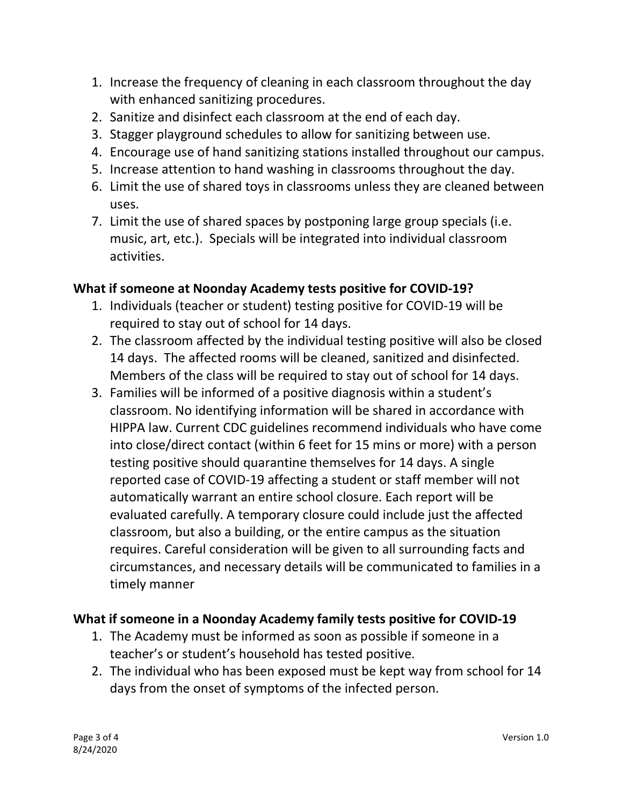- 1. Increase the frequency of cleaning in each classroom throughout the day with enhanced sanitizing procedures.
- 2. Sanitize and disinfect each classroom at the end of each day.
- 3. Stagger playground schedules to allow for sanitizing between use.
- 4. Encourage use of hand sanitizing stations installed throughout our campus.
- 5. Increase attention to hand washing in classrooms throughout the day.
- 6. Limit the use of shared toys in classrooms unless they are cleaned between uses.
- 7. Limit the use of shared spaces by postponing large group specials (i.e. music, art, etc.). Specials will be integrated into individual classroom activities.

## What if someone at Noonday Academy tests positive for COVID-19?

- 1. Individuals (teacher or student) testing positive for COVID-19 will be required to stay out of school for 14 days.
- 2. The classroom affected by the individual testing positive will also be closed 14 days. The affected rooms will be cleaned, sanitized and disinfected. Members of the class will be required to stay out of school for 14 days.
- 3. Families will be informed of a positive diagnosis within a student's classroom. No identifying information will be shared in accordance with HIPPA law. Current CDC guidelines recommend individuals who have come into close/direct contact (within 6 feet for 15 mins or more) with a person testing positive should quarantine themselves for 14 days. A single reported case of COVID-19 affecting a student or staff member will not automatically warrant an entire school closure. Each report will be evaluated carefully. A temporary closure could include just the affected classroom, but also a building, or the entire campus as the situation requires. Careful consideration will be given to all surrounding facts and circumstances, and necessary details will be communicated to families in a timely manner

## What if someone in a Noonday Academy family tests positive for COVID-19

- 1. The Academy must be informed as soon as possible if someone in a teacher's or student's household has tested positive.
- 2. The individual who has been exposed must be kept way from school for 14 days from the onset of symptoms of the infected person.